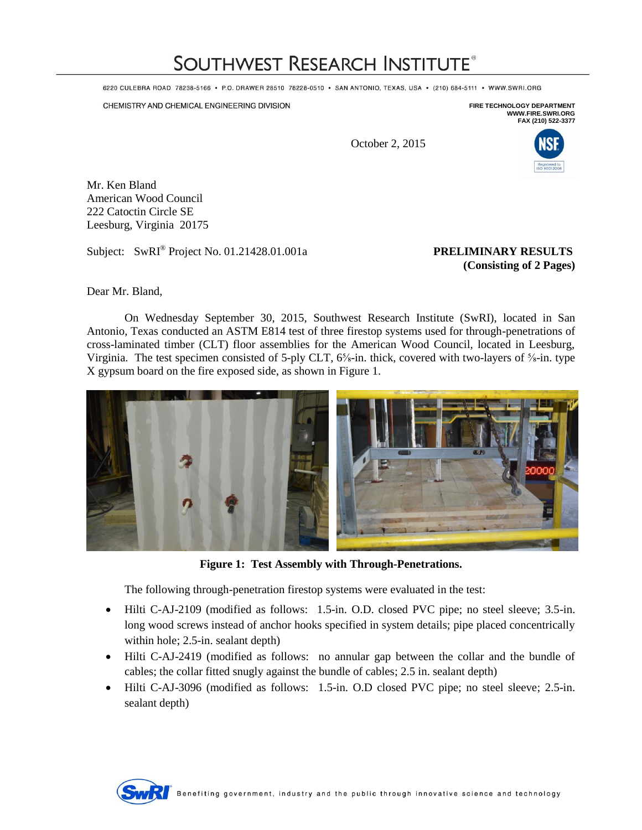## **SOUTHWEST RESEARCH INSTITUTE®**

6220 CULEBRA ROAD 78238-5166 · P.O. DRAWER 28510 78228-0510 · SAN ANTONIO, TEXAS, USA · (210) 684-5111 · WWW.SWRI.ORG

CHEMISTRY AND CHEMICAL ENGINEERING DIVISION

**FIRE TECHNOLOGY DEPARTMENT WWW.FIRE.SWRI.ORG FAX (210) 522-3377**

October 2, 2015



Mr. Ken Bland American Wood Council 222 Catoctin Circle SE Leesburg, Virginia 20175

Subject: SwRI<sup>®</sup> Project No. 01.21428.01.001a **PRELIMINARY RESULTS** 

## **(Consisting of 2 Pages)**

Dear Mr. Bland,

On Wednesday September 30, 2015, Southwest Research Institute (SwRI), located in San Antonio, Texas conducted an ASTM E814 test of three firestop systems used for through-penetrations of cross-laminated timber (CLT) floor assemblies for the American Wood Council, located in Leesburg, Virginia. The test specimen consisted of 5-ply CLT, 6⅝-in. thick, covered with two-layers of ⅝-in. type X gypsum board on the fire exposed side, as shown in Figure 1.



**Figure 1: Test Assembly with Through-Penetrations.**

The following through-penetration firestop systems were evaluated in the test:

- Hilti C-AJ-2109 (modified as follows: 1.5-in. O.D. closed PVC pipe; no steel sleeve; 3.5-in. long wood screws instead of anchor hooks specified in system details; pipe placed concentrically within hole; 2.5-in. sealant depth)
- Hilti C-AJ-2419 (modified as follows: no annular gap between the collar and the bundle of cables; the collar fitted snugly against the bundle of cables; 2.5 in. sealant depth)
- Hilti C-AJ-3096 (modified as follows: 1.5-in. O.D closed PVC pipe; no steel sleeve; 2.5-in. sealant depth)